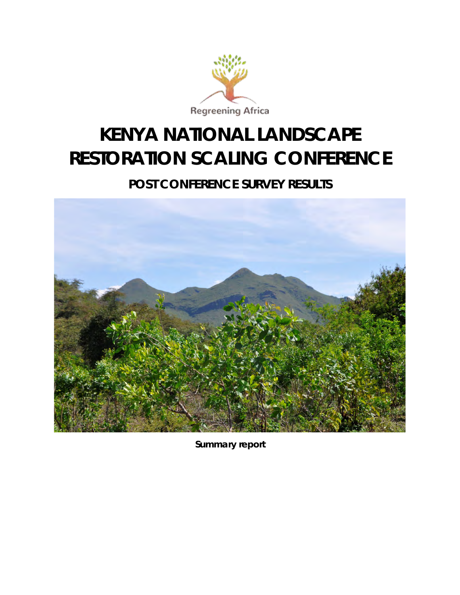

### **KENYA NATIONAL LANDSCAPE RESTORATION SCALING CONFERENCE**

### **POST CONFERENCE SURVEY RESULTS**



*Summary report*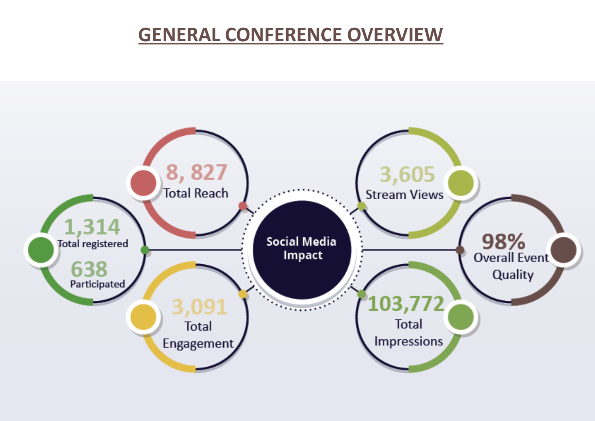## **GENERAL CONFERENCE OVERVIEW**

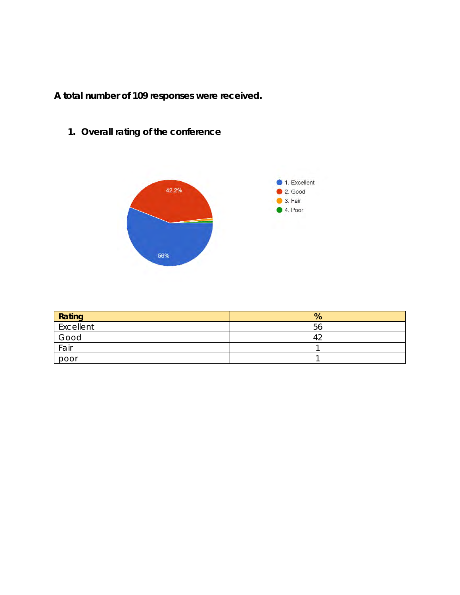**A total number of 109 responses were received.** 

**1. Overall rating of the conference** 



| Rating    | %  |
|-----------|----|
| Excellent | 56 |
| Good      |    |
| Fair      |    |
| poor      |    |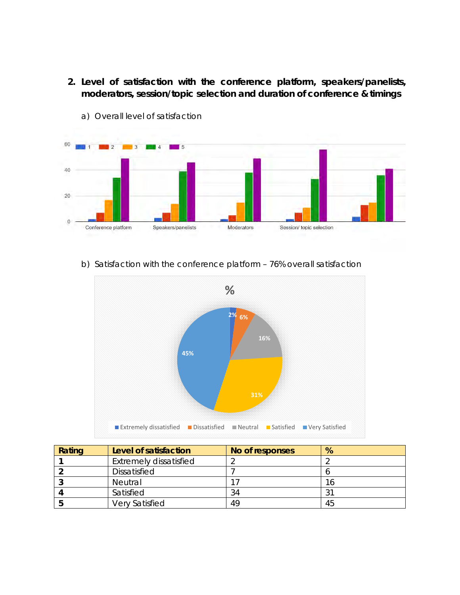**2. Level of satisfaction with the conference platform, speakers/panelists, moderators, session/topic selection and duration of conference & timings** 



a) Overall level of satisfaction

#### b) Satisfaction with the conference platform – 76% overall satisfaction



| Rating | Level of satisfaction         | No of responses | %  |
|--------|-------------------------------|-----------------|----|
|        | <b>Extremely dissatisfied</b> |                 |    |
|        | <b>Dissatisfied</b>           |                 |    |
|        | <b>Neutral</b>                |                 | 16 |
|        | Satisfied                     | 34              | 31 |
|        | <b>Very Satisfied</b>         | 49              | 45 |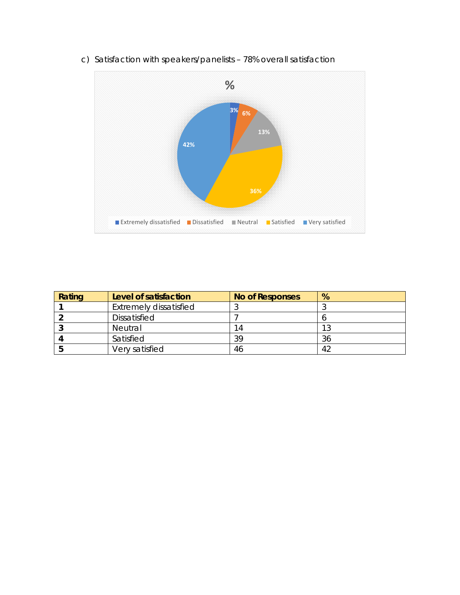

c) Satisfaction with speakers/panelists – 78% overall satisfaction

| Rating | Level of satisfaction         | <b>No of Responses</b> | %  |
|--------|-------------------------------|------------------------|----|
|        | <b>Extremely dissatisfied</b> |                        |    |
|        | <b>Dissatisfied</b>           |                        |    |
|        | <b>Neutral</b>                | 14                     |    |
|        | Satisfied                     | 39                     | 36 |
|        | Very satisfied                | 46                     |    |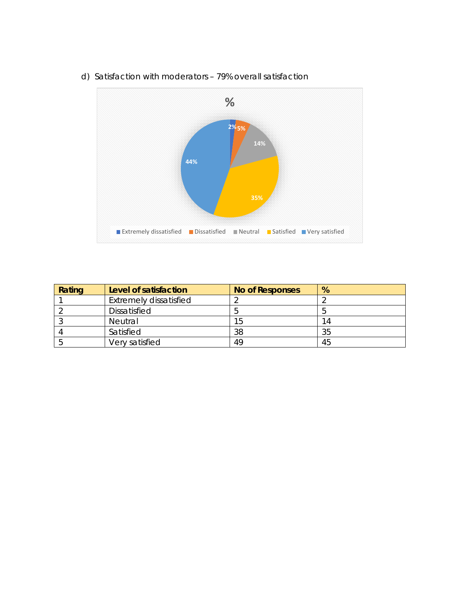

d) Satisfaction with moderators – 79% overall satisfaction

| Rating | Level of satisfaction         | <b>No of Responses</b> | %  |
|--------|-------------------------------|------------------------|----|
|        | <b>Extremely dissatisfied</b> |                        |    |
|        | <b>Dissatisfied</b>           |                        |    |
|        | Neutral                       | .5                     | 14 |
|        | Satisfied                     | 38                     | 35 |
|        | Very satisfied                | 49                     | 45 |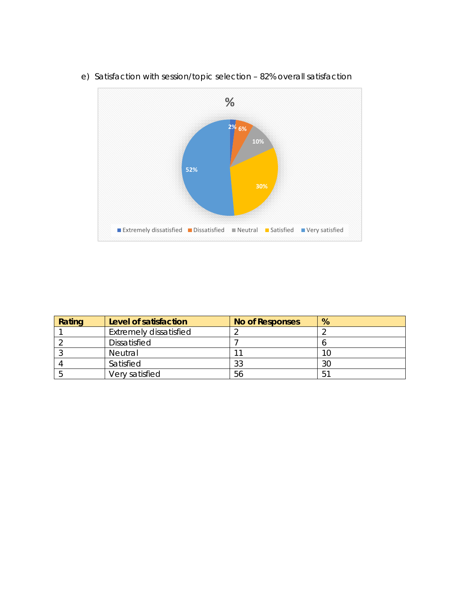

e) Satisfaction with session/topic selection – 82% overall satisfaction

| Rating | Level of satisfaction         | <b>No of Responses</b> | %   |
|--------|-------------------------------|------------------------|-----|
|        | <b>Extremely dissatisfied</b> |                        |     |
|        | Dissatisfied                  |                        |     |
|        | <b>Neutral</b>                |                        |     |
|        | Satisfied                     | 33                     | 30  |
|        | Very satisfied                | 56                     | .51 |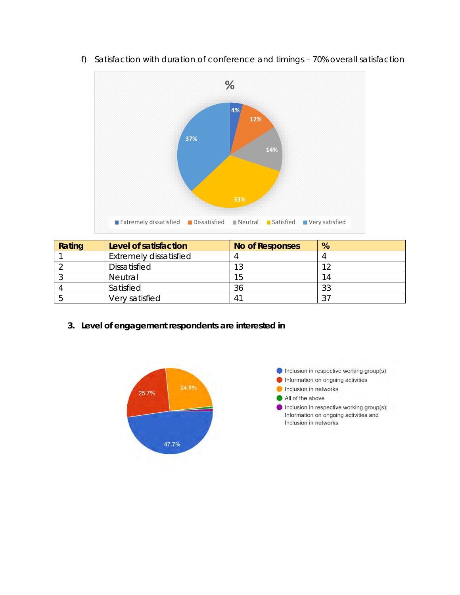

f) Satisfaction with duration of conference and timings – 70% overall satisfaction

| Rating | Level of satisfaction         | <b>No of Responses</b> | %      |
|--------|-------------------------------|------------------------|--------|
|        | <b>Extremely dissatisfied</b> |                        |        |
|        | <b>Dissatisfied</b>           | 1 ລ                    | 1 7    |
|        | Neutral                       | 15                     | 14     |
|        | Satisfied                     | 36                     | 33     |
|        | Very satisfied                |                        | $\cap$ |

**3. Level of engagement respondents are interested in**



Inclusion in respective working group(s) Information on ongoing activities Inclusion in networks All of the above Inclusion in respective working group(s); Information on ongoing activities and Inclusion in networks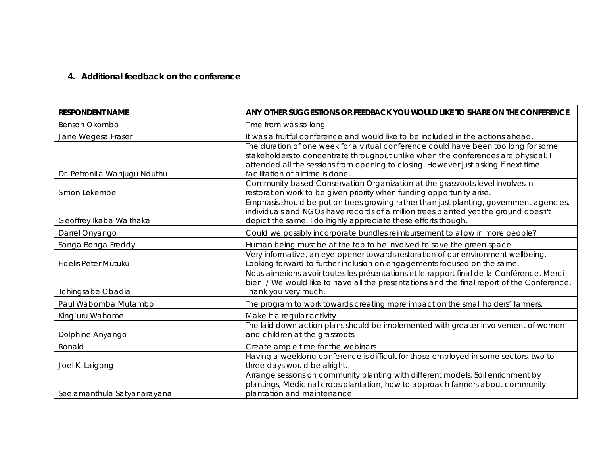#### **4. Additional feedback on the conference**

| <b>RESPONDENT NAME</b>        | ANY OTHER SUGGESTIONS OR FEEDBACK YOU WOULD LIKE TO SHARE ON THE CONFERENCE                                             |
|-------------------------------|-------------------------------------------------------------------------------------------------------------------------|
| Benson Okombo                 | Time from was so long                                                                                                   |
| Jane Wegesa Fraser            | It was a fruitful conference and would like to be included in the actions ahead.                                        |
|                               | The duration of one week for a virtual conference could have been too long for some                                     |
|                               | stakeholders to concentrate throughout unlike when the conferences are physical. I                                      |
| Dr. Petronilla Wanjugu Nduthu | attended all the sessions from opening to closing. However just asking if next time<br>facilitation of airtime is done. |
|                               | Community-based Conservation Organization at the grassroots level involves in                                           |
| Simon Lekembe                 | restoration work to be given priority when funding opportunity arise.                                                   |
|                               | Emphasis should be put on trees growing rather than just planting, government agencies,                                 |
|                               | individuals and NGOs have records of a million trees planted yet the ground doesn't                                     |
| Geoffrey Ikaba Waithaka       | depict the same. I do highly appreciate these efforts though.                                                           |
| Darrel Onyango                | Could we possibly incorporate bundles reimbursement to allow in more people?                                            |
| Songa Bonga Freddy            | Human being must be at the top to be involved to save the green space                                                   |
|                               | Very informative, an eye-opener towards restoration of our environment wellbeing.                                       |
| <b>Fidelis Peter Mutuku</b>   | Looking forward to further inclusion on engagements focused on the same.                                                |
|                               | Nous aimerions avoir toutes les présentations et le rapport final de la Conférence. Merci                               |
|                               | bien. / We would like to have all the presentations and the final report of the Conference.                             |
| <b>Tchingsabe Obadia</b>      | Thank you very much.                                                                                                    |
| Paul Wabomba Mutambo          | The program to work towards creating more impact on the small holders' farmers.                                         |
| King'uru Wahome               | Make it a regular activity                                                                                              |
|                               | The laid down action plans should be implemented with greater involvement of women                                      |
| Dolphine Anyango              | and children at the grassroots.                                                                                         |
| Ronald                        | Create ample time for the webinars                                                                                      |
|                               | Having a weeklong conference is difficult for those employed in some sectors. two to                                    |
| Joel K. Laigong               | three days would be alright.                                                                                            |
|                               | Arrange sessions on community planting with different models, Soil enrichment by                                        |
|                               | plantings, Medicinal crops plantation, how to approach farmers about community                                          |
| Seelamanthula Satyanarayana   | plantation and maintenance                                                                                              |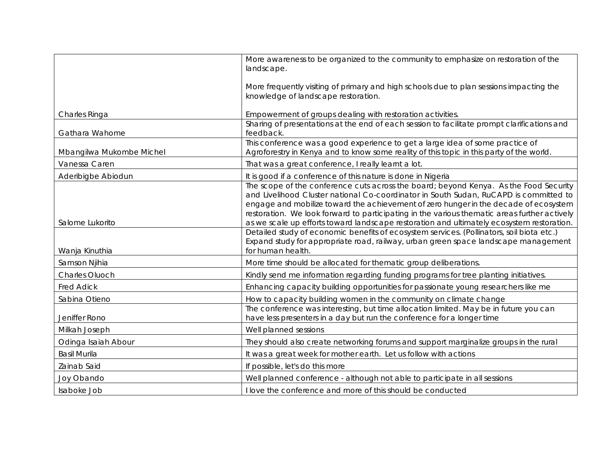|                          | More awareness to be organized to the community to emphasize on restoration of the<br>landscape.                                                                                                                                                                                                                                                                                                                                                                    |
|--------------------------|---------------------------------------------------------------------------------------------------------------------------------------------------------------------------------------------------------------------------------------------------------------------------------------------------------------------------------------------------------------------------------------------------------------------------------------------------------------------|
|                          |                                                                                                                                                                                                                                                                                                                                                                                                                                                                     |
|                          | More frequently visiting of primary and high schools due to plan sessions impacting the<br>knowledge of landscape restoration.                                                                                                                                                                                                                                                                                                                                      |
| Charles Ringa            | Empowerment of groups dealing with restoration activities.                                                                                                                                                                                                                                                                                                                                                                                                          |
| Gathara Wahome           | Sharing of presentations at the end of each session to facilitate prompt clarifications and<br>feedback.                                                                                                                                                                                                                                                                                                                                                            |
| Mbangilwa Mukombe Michel | This conference was a good experience to get a large idea of some practice of<br>Agroforestry in Kenya and to know some reality of this topic in this party of the world.                                                                                                                                                                                                                                                                                           |
| Vanessa Caren            | That was a great conference, I really learnt a lot.                                                                                                                                                                                                                                                                                                                                                                                                                 |
| Aderibigbe Abiodun       | It is good if a conference of this nature is done in Nigeria                                                                                                                                                                                                                                                                                                                                                                                                        |
| Salome Lukorito          | The scope of the conference cuts across the board; beyond Kenya. As the Food Security<br>and Livelihood Cluster national Co-coordinator in South Sudan, RuCAPD is committed to<br>engage and mobilize toward the achievement of zero hunger in the decade of ecosystem<br>restoration. We look forward to participating in the various thematic areas further actively<br>as we scale up efforts toward landscape restoration and ultimately ecosystem restoration. |
| Wanja Kinuthia           | Detailed study of economic benefits of ecosystem services. (Pollinators, soil biota etc.)<br>Expand study for appropriate road, railway, urban green space landscape management<br>for human health.                                                                                                                                                                                                                                                                |
| Samson Njihia            | More time should be allocated for thematic group deliberations.                                                                                                                                                                                                                                                                                                                                                                                                     |
| Charles Oluoch           | Kindly send me information regarding funding programs for tree planting initiatives.                                                                                                                                                                                                                                                                                                                                                                                |
| <b>Fred Adick</b>        | Enhancing capacity building opportunities for passionate young researchers like me                                                                                                                                                                                                                                                                                                                                                                                  |
| Sabina Otieno            | How to capacity building women in the community on climate change                                                                                                                                                                                                                                                                                                                                                                                                   |
| Jeniffer Rono            | The conference was interesting, but time allocation limited. May be in future you can<br>have less presenters in a day but run the conference for a longer time                                                                                                                                                                                                                                                                                                     |
| Milkah Joseph            | Well planned sessions                                                                                                                                                                                                                                                                                                                                                                                                                                               |
| Odinga Isaiah Abour      | They should also create networking forums and support marginalize groups in the rural                                                                                                                                                                                                                                                                                                                                                                               |
| <b>Basil Murila</b>      | It was a great week for mother earth. Let us follow with actions                                                                                                                                                                                                                                                                                                                                                                                                    |
| Zainab Said              | If possible, let's do this more                                                                                                                                                                                                                                                                                                                                                                                                                                     |
| Joy Obando               | Well planned conference - although not able to participate in all sessions                                                                                                                                                                                                                                                                                                                                                                                          |
| Isaboke Job              | I love the conference and more of this should be conducted                                                                                                                                                                                                                                                                                                                                                                                                          |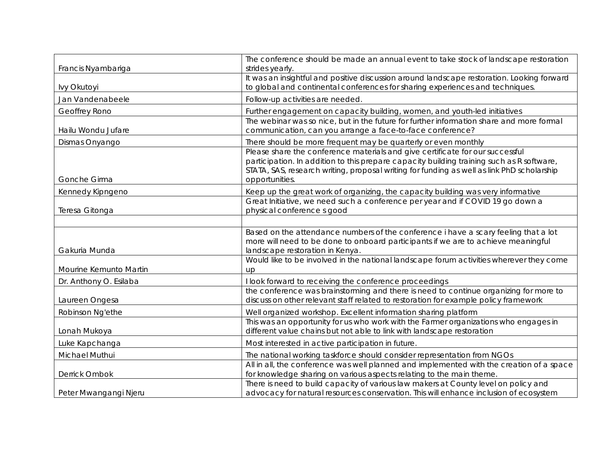|                        | The conference should be made an annual event to take stock of landscape restoration                                                                                                                                                                                                       |
|------------------------|--------------------------------------------------------------------------------------------------------------------------------------------------------------------------------------------------------------------------------------------------------------------------------------------|
| Francis Nyambariga     | strides yearly.                                                                                                                                                                                                                                                                            |
| lvy Okutoyi            | It was an insightful and positive discussion around landscape restoration. Looking forward<br>to global and continental conferences for sharing experiences and techniques.                                                                                                                |
| Jan Vandenabeele       | Follow-up activities are needed.                                                                                                                                                                                                                                                           |
| Geoffrey Rono          | Further engagement on capacity building, women, and youth-led initiatives                                                                                                                                                                                                                  |
| Hailu Wondu Jufare     | The webinar was so nice, but in the future for further information share and more formal<br>communication, can you arrange a face-to-face conference?                                                                                                                                      |
| Dismas Onyango         | There should be more frequent may be quarterly or even monthly                                                                                                                                                                                                                             |
| Gonche Girma           | Please share the conference materials and give certificate for our successful<br>participation. In addition to this prepare capacity building training such as R software,<br>STATA, SAS, research writing, proposal writing for funding as well as link PhD scholarship<br>opportunities. |
| Kennedy Kipngeno       | Keep up the great work of organizing, the capacity building was very informative                                                                                                                                                                                                           |
| Teresa Gitonga         | Great Initiative, we need such a conference per year and if COVID 19 go down a<br>physical conference s good                                                                                                                                                                               |
|                        |                                                                                                                                                                                                                                                                                            |
| Gakuria Munda          | Based on the attendance numbers of the conference i have a scary feeling that a lot<br>more will need to be done to onboard participants if we are to achieve meaningful<br>landscape restoration in Kenya.                                                                                |
| Mourine Kemunto Martin | Would like to be involved in the national landscape forum activities wherever they come<br>up                                                                                                                                                                                              |
| Dr. Anthony O. Esilaba | I look forward to receiving the conference proceedings                                                                                                                                                                                                                                     |
| Laureen Ongesa         | the conference was brainstorming and there is need to continue organizing for more to<br>discuss on other relevant staff related to restoration for example policy framework                                                                                                               |
| Robinson Ng'ethe       | Well organized workshop. Excellent information sharing platform                                                                                                                                                                                                                            |
| Lonah Mukoya           | This was an opportunity for us who work with the Farmer organizations who engages in<br>different value chains but not able to link with landscape restoration                                                                                                                             |
| Luke Kapchanga         | Most interested in active participation in future.                                                                                                                                                                                                                                         |
| Michael Muthui         | The national working taskforce should consider representation from NGOs                                                                                                                                                                                                                    |
| Derrick Ombok          | All in all, the conference was well planned and implemented with the creation of a space<br>for knowledge sharing on various aspects relating to the main theme.                                                                                                                           |
| Peter Mwangangi Njeru  | There is need to build capacity of various law makers at County level on policy and<br>advocacy for natural resources conservation. This will enhance inclusion of ecosystem                                                                                                               |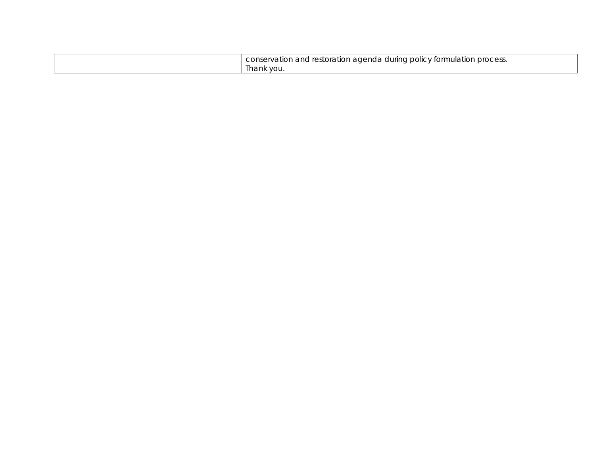| process.<br>-policy formi<br>conser<br>.rvation<br>านlatior<br>durina l<br>i and restoration adenda |
|-----------------------------------------------------------------------------------------------------|
| Ihank<br>∵ VOL.                                                                                     |